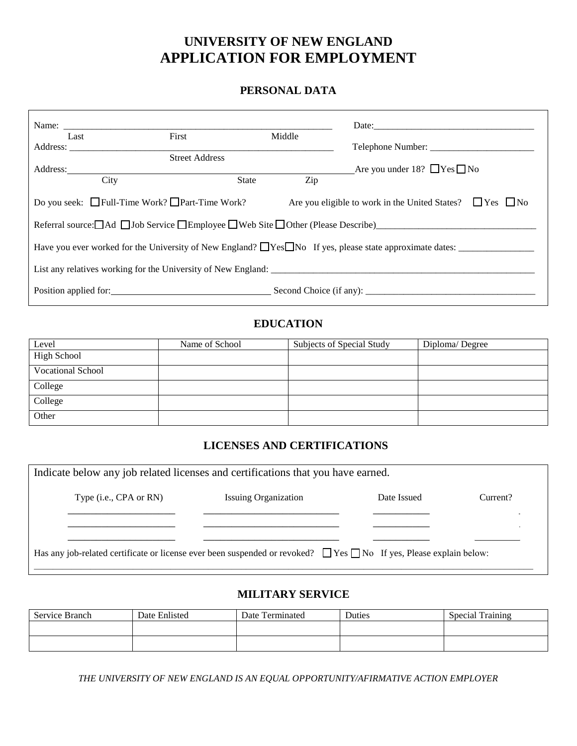# **UNIVERSITY OF NEW ENGLAND APPLICATION FOR EMPLOYMENT**

## **PERSONAL DATA**

|                                                                                                                                                                                                                                                   |                       |       |        | Date:                                  |
|---------------------------------------------------------------------------------------------------------------------------------------------------------------------------------------------------------------------------------------------------|-----------------------|-------|--------|----------------------------------------|
| Last                                                                                                                                                                                                                                              | First                 |       | Middle |                                        |
| Address:                                                                                                                                                                                                                                          |                       |       |        |                                        |
|                                                                                                                                                                                                                                                   | <b>Street Address</b> |       |        |                                        |
| Address:                                                                                                                                                                                                                                          |                       |       |        | Are you under 18? $\Box$ Yes $\Box$ No |
|                                                                                                                                                                                                                                                   | City                  | State | Zip    |                                        |
| Do you seek: $\Box$ Full-Time Work? $\Box$ Part-Time Work?<br>Are you eligible to work in the United States? $\Box$ Yes $\Box$ No<br>Referral source: $\Box$ Ad $\Box$ Job Service $\Box$ Employee $\Box$ Web Site $\Box$ Other (Please Describe) |                       |       |        |                                        |
| Have you ever worked for the University of New England? $\Box$ Yes $\Box$ No If yes, please state approximate dates:                                                                                                                              |                       |       |        |                                        |
| List any relatives working for the University of New England:                                                                                                                                                                                     |                       |       |        |                                        |
| Position applied for: Second Choice (if any): ___________________________________                                                                                                                                                                 |                       |       |        |                                        |

# **EDUCATION**

| Level              | Name of School | Subjects of Special Study | Diploma/Degree |
|--------------------|----------------|---------------------------|----------------|
| <b>High School</b> |                |                           |                |
| Vocational School  |                |                           |                |
| College            |                |                           |                |
| College            |                |                           |                |
| Other              |                |                           |                |

# **LICENSES AND CERTIFICATIONS**

| Indicate below any job related licenses and certifications that you have earned.                                              |                             |             |          |
|-------------------------------------------------------------------------------------------------------------------------------|-----------------------------|-------------|----------|
| Type (i.e., CPA or RN)                                                                                                        | <b>Issuing Organization</b> | Date Issued | Current? |
|                                                                                                                               |                             |             |          |
| Has any job-related certificate or license ever been suspended or revoked? $\Box$ Yes $\Box$ No If yes, Please explain below: |                             |             |          |

### **MILITARY SERVICE**

| Service Branch | Date Enlisted | Date Terminated | Duties | <b>Special Training</b> |
|----------------|---------------|-----------------|--------|-------------------------|
|                |               |                 |        |                         |
|                |               |                 |        |                         |

*THE UNIVERSITY OF NEW ENGLAND IS AN EQUAL OPPORTUNITY/AFIRMATIVE ACTION EMPLOYER*